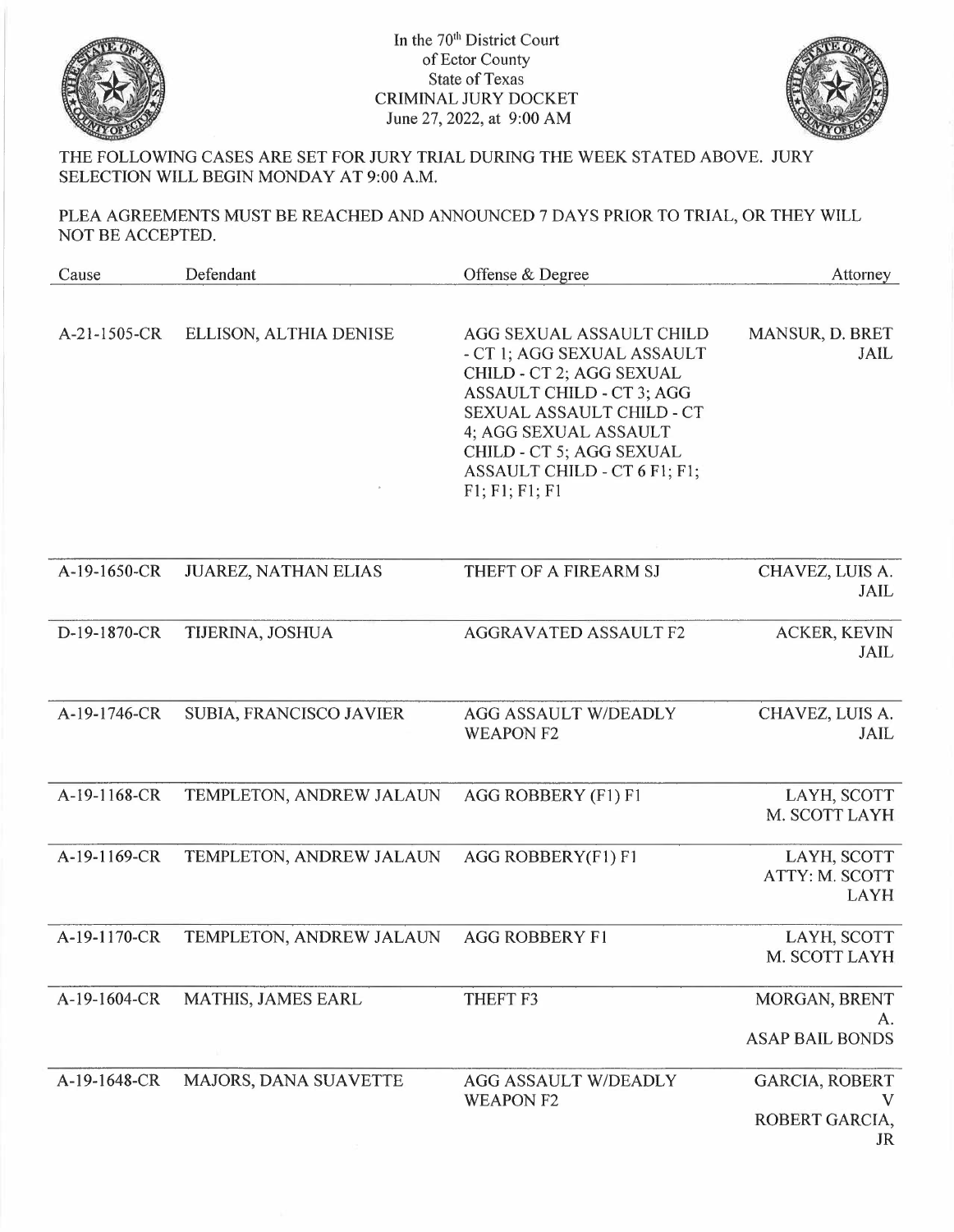

In the 70<sup>th</sup> District Court of Ector County State of Texas CRIMINAL JURY DOCKET June 27, 2022, at 9:00 AM



THE FOLLOWING CASES ARE SET FOR JURY TRIAL DURING THE WEEK STATED ABOVE. JURY SELECTION WILL BEGIN MONDAY AT 9:00 A.M.

PLEA AGREEMENTS MUST BE REACHED AND ANNOUNCED 7 DAYS PRIOR TO TRIAL, OR THEY WILL NOT BE ACCEPTED.

| Cause        | Defendant                   | Offense & Degree                                                                                                                                                                                                                                    | Attorney                                      |
|--------------|-----------------------------|-----------------------------------------------------------------------------------------------------------------------------------------------------------------------------------------------------------------------------------------------------|-----------------------------------------------|
| A-21-1505-CR | ELLISON, ALTHIA DENISE      | AGG SEXUAL ASSAULT CHILD<br>- CT 1; AGG SEXUAL ASSAULT<br>CHILD - CT 2; AGG SEXUAL<br>ASSAULT CHILD - CT 3; AGG<br>SEXUAL ASSAULT CHILD - CT<br>4; AGG SEXUAL ASSAULT<br>CHILD - CT 5; AGG SEXUAL<br>ASSAULT CHILD - CT 6 F1; F1;<br>F1; F1; F1; F1 | MANSUR, D. BRET<br>JAIL                       |
| A-19-1650-CR | <b>JUAREZ, NATHAN ELIAS</b> | THEFT OF A FIREARM SJ                                                                                                                                                                                                                               | CHAVEZ, LUIS A.<br>JAIL                       |
| D-19-1870-CR | TIJERINA, JOSHUA            | <b>AGGRAVATED ASSAULT F2</b>                                                                                                                                                                                                                        | <b>ACKER, KEVIN</b><br><b>JAIL</b>            |
| A-19-1746-CR | SUBIA, FRANCISCO JAVIER     | <b>AGG ASSAULT W/DEADLY</b><br><b>WEAPON F2</b>                                                                                                                                                                                                     | CHAVEZ, LUIS A.<br><b>JAIL</b>                |
| A-19-1168-CR | TEMPLETON, ANDREW JALAUN    | AGG ROBBERY (F1) F1                                                                                                                                                                                                                                 | LAYH, SCOTT<br>M. SCOTT LAYH                  |
| A-19-1169-CR | TEMPLETON, ANDREW JALAUN    | AGG ROBBERY(F1) F1                                                                                                                                                                                                                                  | LAYH, SCOTT<br>ATTY: M. SCOTT<br><b>LAYH</b>  |
| A-19-1170-CR | TEMPLETON, ANDREW JALAUN    | <b>AGG ROBBERY F1</b>                                                                                                                                                                                                                               | LAYH, SCOTT<br>M. SCOTT LAYH                  |
| A-19-1604-CR | MATHIS, JAMES EARL          | THEFT F3                                                                                                                                                                                                                                            | MORGAN, BRENT<br>А.<br><b>ASAP BAIL BONDS</b> |
| A-19-1648-CR | MAJORS, DANA SUAVETTE       | <b>AGG ASSAULT W/DEADLY</b><br><b>WEAPON F2</b>                                                                                                                                                                                                     | GARCIA, ROBERT<br>ROBERT GARCIA,<br>JR        |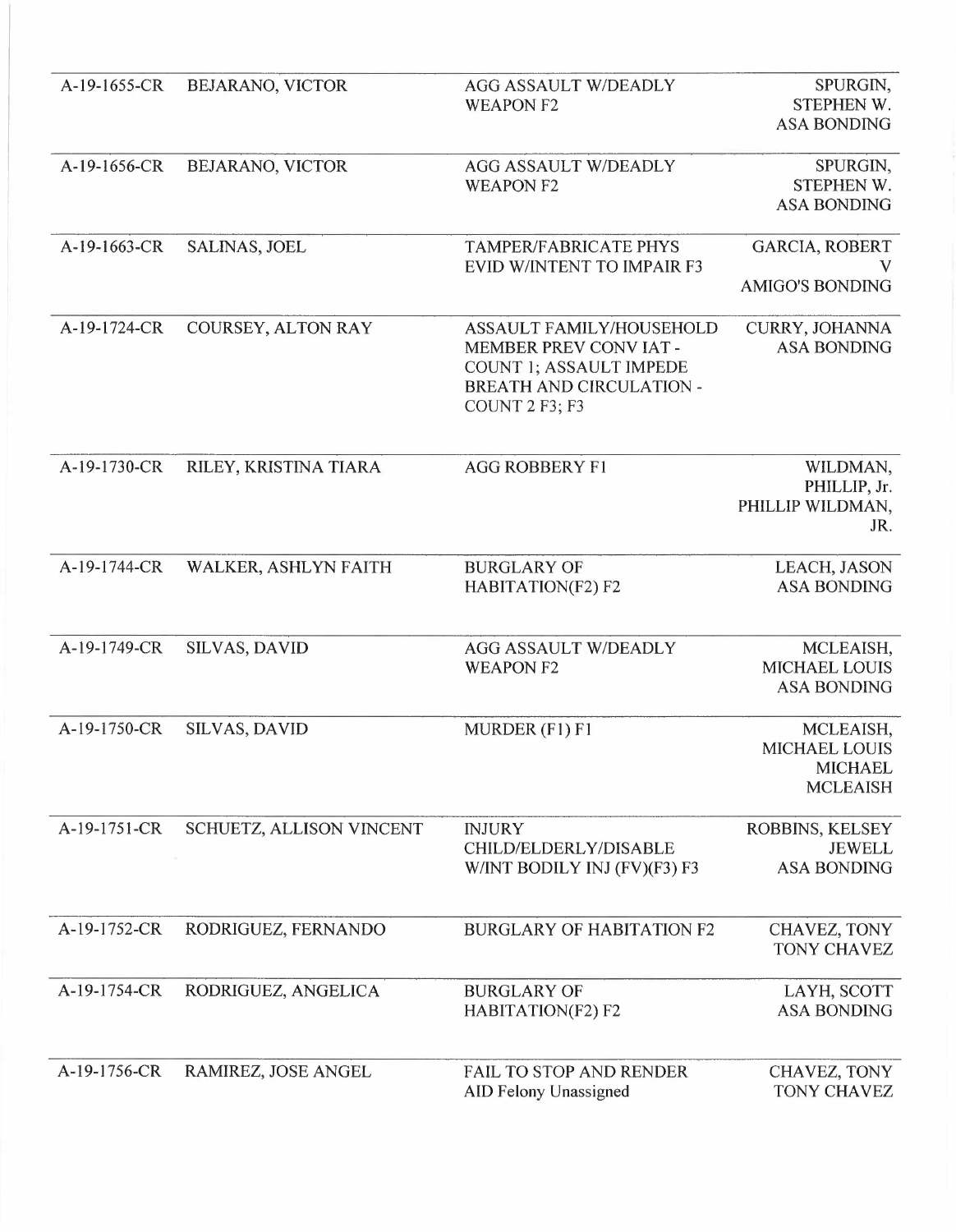| A-19-1655-CR | BEJARANO, VICTOR         | <b>AGG ASSAULT W/DEADLY</b><br><b>WEAPON F2</b>                                                                                  | SPURGIN,<br>STEPHEN W.<br><b>ASA BONDING</b>                           |
|--------------|--------------------------|----------------------------------------------------------------------------------------------------------------------------------|------------------------------------------------------------------------|
| A-19-1656-CR | BEJARANO, VICTOR         | <b>AGG ASSAULT W/DEADLY</b><br><b>WEAPON F2</b>                                                                                  | SPURGIN,<br>STEPHEN W.<br><b>ASA BONDING</b>                           |
| A-19-1663-CR | <b>SALINAS, JOEL</b>     | <b>TAMPER/FABRICATE PHYS</b><br><b>EVID W/INTENT TO IMPAIR F3</b>                                                                | GARCIA, ROBERT<br><b>AMIGO'S BONDING</b>                               |
| A-19-1724-CR | COURSEY, ALTON RAY       | <b>ASSAULT FAMILY/HOUSEHOLD</b><br>MEMBER PREV CONVIAT-<br>COUNT 1; ASSAULT IMPEDE<br>BREATH AND CIRCULATION -<br>COUNT 2 F3; F3 | CURRY, JOHANNA<br><b>ASA BONDING</b>                                   |
| A-19-1730-CR | RILEY, KRISTINA TIARA    | <b>AGG ROBBERY F1</b>                                                                                                            | WILDMAN,<br>PHILLIP, Jr.<br>PHILLIP WILDMAN,<br>JR.                    |
| A-19-1744-CR | WALKER, ASHLYN FAITH     | <b>BURGLARY OF</b><br>HABITATION(F2) F2                                                                                          | LEACH, JASON<br><b>ASA BONDING</b>                                     |
| A-19-1749-CR | <b>SILVAS, DAVID</b>     | <b>AGG ASSAULT W/DEADLY</b><br><b>WEAPON F2</b>                                                                                  | MCLEAISH,<br><b>MICHAEL LOUIS</b><br><b>ASA BONDING</b>                |
| A-19-1750-CR | <b>SILVAS, DAVID</b>     | MURDER (F1) F1                                                                                                                   | MCLEAISH,<br><b>MICHAEL LOUIS</b><br><b>MICHAEL</b><br><b>MCLEAISH</b> |
| A-19-1751-CR | SCHUETZ, ALLISON VINCENT | <b>INJURY</b><br>CHILD/ELDERLY/DISABLE<br>W/INT BODILY INJ (FV)(F3) F3                                                           | ROBBINS, KELSEY<br><b>JEWELL</b><br><b>ASA BONDING</b>                 |
| A-19-1752-CR | RODRIGUEZ, FERNANDO      | <b>BURGLARY OF HABITATION F2</b>                                                                                                 | CHAVEZ, TONY<br>TONY CHAVEZ                                            |
| A-19-1754-CR | RODRIGUEZ, ANGELICA      | <b>BURGLARY OF</b><br>HABITATION(F2) F2                                                                                          | LAYH, SCOTT<br><b>ASA BONDING</b>                                      |
| A-19-1756-CR | RAMIREZ, JOSE ANGEL      | <b>FAIL TO STOP AND RENDER</b><br><b>AID Felony Unassigned</b>                                                                   | CHAVEZ, TONY<br><b>TONY CHAVEZ</b>                                     |